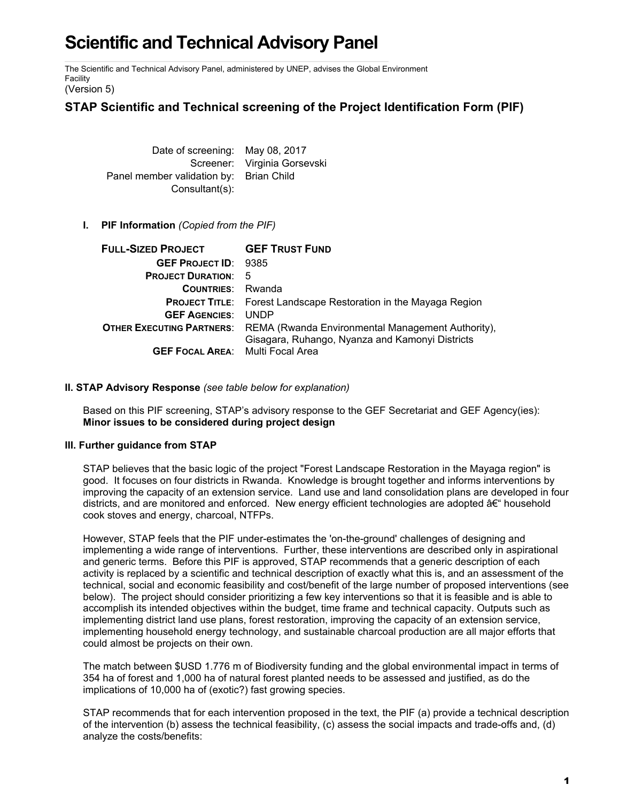# **Scientific and Technical Advisory Panel**

The Scientific and Technical Advisory Panel, administered by UNEP, advises the Global Environment Facility

(Version 5)

## **STAP Scientific and Technical screening of the Project Identification Form (PIF)**

Date of screening: May 08, 2017 Screener: Virginia Gorsevski Panel member validation by: Brian Child Consultant(s):

### **I. PIF Information** *(Copied from the PIF)*

| <b>FULL-SIZED PROJECT</b>               | <b>GEF TRUST FUND</b>                                                              |
|-----------------------------------------|------------------------------------------------------------------------------------|
| <b>GEF PROJECT ID: 9385</b>             |                                                                                    |
| <b>PROJECT DURATION: 5</b>              |                                                                                    |
| <b>COUNTRIES:</b> Rwanda                |                                                                                    |
|                                         | <b>PROJECT TITLE:</b> Forest Landscape Restoration in the Mayaga Region            |
| <b>GEF AGENCIES:</b>                    | <b>UNDP</b>                                                                        |
|                                         | <b>OTHER EXECUTING PARTNERS:</b> REMA (Rwanda Environmental Management Authority), |
|                                         | Gisagara, Ruhango, Nyanza and Kamonyi Districts                                    |
| <b>GEF FOCAL AREA:</b> Multi Focal Area |                                                                                    |

### **II. STAP Advisory Response** *(see table below for explanation)*

Based on this PIF screening, STAP's advisory response to the GEF Secretariat and GEF Agency(ies): **Minor issues to be considered during project design**

### **III. Further guidance from STAP**

STAP believes that the basic logic of the project "Forest Landscape Restoration in the Mayaga region" is good. It focuses on four districts in Rwanda. Knowledge is brought together and informs interventions by improving the capacity of an extension service. Land use and land consolidation plans are developed in four districts, and are monitored and enforced. New energy efficient technologies are adopted  $a \in \mathfrak{m}$  household cook stoves and energy, charcoal, NTFPs.

However, STAP feels that the PIF under-estimates the 'on-the-ground' challenges of designing and implementing a wide range of interventions. Further, these interventions are described only in aspirational and generic terms. Before this PIF is approved, STAP recommends that a generic description of each activity is replaced by a scientific and technical description of exactly what this is, and an assessment of the technical, social and economic feasibility and cost/benefit of the large number of proposed interventions (see below). The project should consider prioritizing a few key interventions so that it is feasible and is able to accomplish its intended objectives within the budget, time frame and technical capacity. Outputs such as implementing district land use plans, forest restoration, improving the capacity of an extension service, implementing household energy technology, and sustainable charcoal production are all major efforts that could almost be projects on their own.

The match between \$USD 1.776 m of Biodiversity funding and the global environmental impact in terms of 354 ha of forest and 1,000 ha of natural forest planted needs to be assessed and justified, as do the implications of 10,000 ha of (exotic?) fast growing species.

STAP recommends that for each intervention proposed in the text, the PIF (a) provide a technical description of the intervention (b) assess the technical feasibility, (c) assess the social impacts and trade-offs and, (d) analyze the costs/benefits: